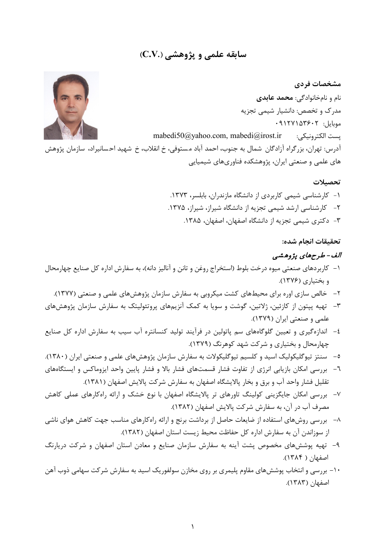# **سابقه علمی و پژوهشی (.V.C(**

**مشخصات فردي** نام و نامخانوادگی: **محمد عابدي** مدرك و تخصص: دانشیار شیمی تجزیه  $.9117Y10Y5.7$ [mabedi50@yahoo.com,](mailto:mabedi50@yahoo.com) mabedi@irost.ir :الکترونیکی پست آدرس: تهران، بزرگراه آزادگان شمال به جنوب، احمد آباد م ستوفی، خ انقلاب، خ شهید اح سانیراد، سازمان پژوهش هاي علمی و صنعتی ایران، پژوهشکده فناوريهاي شیمیایی

#### **تحصیلات**

-1 کارشناسی شیمی کاربردي از دانشگاه مازندران، بابلسر، .1373 -2 کارشناسی ارشد شیمی تجزیه از دانشگاه شیراز، شیراز، .1375 -3 دکتري شیمی تجزیه از دانشگاه اصفهان، اصفهان، .1385

#### **تحقیقات انجام شده:**

## الف- طرحهاي پژوهشی

- -1 کاربردهاي صنعتی میوه درخت بلوط (استخراج روغن و تانن و آنالیز دانه)، به سفارش اداره کل صنایع چهارمحال و بختیاري (1376).
	- -2 خالص سازي اوره براي محیطهاي کشت میکروبی به سفارش سازمان پژوهشهاي علمی و صنعتی (1377).
- -3 تهیه پپتون از کازئین، ژلاتین، گوشت و سویا به کمک آنزیمهاي پروتئولیتک به سفارش سازمان پژوهشهاي علمی و صنعتی ایران (1379).
- -4 اندازهگیري و تعیین گلوگاههاي سم پاتولین در فرآیند تولید کنسانتره آب سیب به سفارش اداره کل صنایع چهارمحال و بختیاري و شرکت شهد کوهرنگ (1379).
- -5 سنتز تیوگلیکولیک اسید و کلسیم تیوگلیکولات به سفارش سازمان پژوهشهاي علمی و صنعتی ایران (1380).
- -6 بررسی امکان بازیابی انرژي از تفاوت فشار قسمتهاي فشار بالا و فشار پایین واحد ایزوماکس و ایستگاههاي تقلیل فشار واحد آب و برق و بخار پالایشگاه اصفهان به سفارش شرکت پالایش اصفهان (1381).
- -7 بررسی امکان جایگزینی کولینگ تاورهاي تر پالایشگاه اصفهان با نوع خشک و ارائه راهکارهاي عملی کاهش مصرف آب در آن، به سفارش شرکت پالایش اصفهان (1382).
- -8 بررسی روشهاي استفاده از ضایعات حاصل از برداشت برنج و ارائه راهکارهاي مناسب جهت کاهش هواي ناشی از سوزاندن آن به سفارش اداره کل حفاظت محیط زیست استان اصفهان (1382).
- -9 تهیه پوششهاي مخصوص پشت آینه به سفارش سازمان صنایع و معادن استان اصفهان و شرکت دریارنگ اصفهان ( 1384).
- -10 بررسی و انتخاب پوششهاي مقاوم پلیمري بر روي مخازن سولفوریک اسید به سفارش شرکت سهامی ذوب آهن اصفهان (1383).

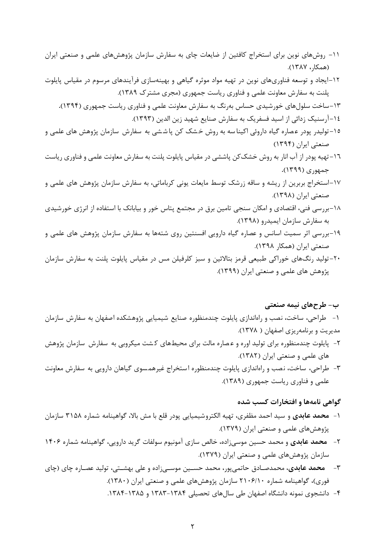- -11 روشهاي نوین براي استخراج کافئین از ضایعات چاي به سفارش سازمان پژوهشهاي علمی و صنعتی ایران (همکار، 1387).
- -12ایجاد و توسعه فناوريهاي نوین در تهیه مواد موثره گیاهی و بهینهسازي فرآیندهاي مرسوم در مقیاس پایلوت پلنت به سفارش معاونت علمی و فناوري ریاست جمهوري (مجري مشترك 1389).
	- -13ساخت سلولهاي خورشیدي حساس بهرنگ به سفارش معاونت علمی و فناوري ریاست جمهوري (1394)**.** -14آرسنیک زدائی از اسید فسفریک به سفارش صنایع شهید زین الدین (1393).
- 10–تولیدر پودر عصاره گیاه داروئی اکینا سه به روش خشک کن پا ششی به سفارش سازمان پژوهش های علمی و صنعتی ایران (1394)
- -16تهیه پودر از آب انار به روش خشککن پاششی در مقیاس پایلوت پلنت به سفارش معاونت علمی و فناوري ریاست جمهوري (1399)**.**
- -17استخراج بربرین از ریشه و ساقه زرشک توسط مایعات یونی کرباماتی، به سفارش سازمان پژوهش هاي علمی و صنعتی ایران (1398).
- -18بررسی فنی، اقتصادي و امکان سنجی تامین برق در مجتمع پتاس خور و بیابانک با استفاده از انرژي خورشیدي به سفارش سازمان ایمیدرو (1398).
- -19بررسی اثر سمیت اسانس و عصاره گیاه دارویی افسنتین روي شتهها به سفارش سازمان پژوهش هاي علمی و صنعتی ایران (همکار 1398).
- -20تولید رنگهاي خوراکی طبیعی قرمز بتالائین و سبز کلرفیلن مس در مقیاس پایلوت پلنت به سفارش سازمان پژوهش هاي علمی و صنعتی ایران (1399).

#### **ب- طرحهاي نیمه صنعتی**

-1 طراحی، ساخت، نصب و راهاندازي پایلوت چندمنظوره صنایع شیمیایی پژوهشکده اصفهان به سفارش سازمان مدیریت و برنامهریزي اصفهان ( 1378).

- -2 پایلوت چندمنظوره براي تولید اوره و ع صاره مالت براي محیطهاي ک شت میکروبی به سفارش سازمان پژوهش هاي علمی و صنعتی ایران (1382).
- -3 طراحی، ساخت، نصب و راهاندازي پایلوت چندمنظوره استخراج غیرهمسوي گیاهان دارویی به سفارش معاونت علمی و فناوري ریاست جمهوري (1389).

#### **گواهی نامهها و افتخارات کسب شده**

- -1 **محمد عابدي** و سید احمد مظفري، تهیه الکتروشیمیایی پودر قلع با مش بالا، گواهینامه شماره 3158 سازمان پژوهشهاي علمی و صنعتی ایران (1379).
- -2 **محمد عابدي** و محمد حسین موسیزاده، خالص سازي آمونیوم سولفات گرید دارویی، گواهینامه شماره 1406 سازمان پژوهشهاي علمی و صنعتی ایران (1379).
- -3 **محمد عابدي**، محمدصـادق حاتمیپور، محمد حسـین موسـیزاده و علی بهشـتی، تولید عصـاره چاي (چاي فوري)، گواهینامه شماره 2106/10 سازمان پژوهشهاي علمی و صنعتی ایران (1380).
	- -4 دانشجوي نمونه دانشگاه اصفهان طی سالهاي تحصیلی 1383-1384 و .1384-1385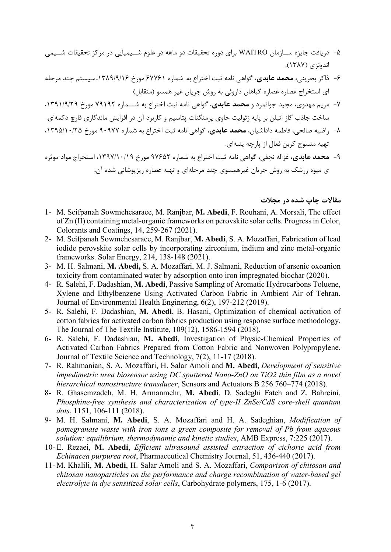- -5 دریافت جایزه ســازمان WAITRO براي دوره تحقیقات دو ماهه در علوم شــیمیایی در مرکز تحقیقات شــیمی اندونزي (1387).
- -6 ذاکر بحرینی، **محمد عابدي**، گواهی نامه ثبت اختراع به شماره 67761 مورخ ،1389/9/16سیستم چند مرحله اي استخراج عصاره عصاره گیاهان داروئی به روش جریان غیر همسو (متقابل)
- -7 مریم مهدوي، مجید جوانمرد و **محمد عابدي**، گواهی نامه ثبت اختراع به شـــماره 79192 مورخ ،1391/9/29 ساخت جاذب گاز اتیلن بر پایه زئولیت حاوي پرمنگنات پتاسیم و کاربرد آن در افزایش ماندگاري قارچ دکمهاي.
- -8 راضیه صالحی، فاطمه داداشیان، **محمد عابدي**، گواهی نامه ثبت اختراع به شماره 90977 مورخ ،1395/10/25 تهیه منسوج کربن فعال از پارچه پنبهاي.
- -9 **محمد عابدي**، غزاله نجفی، گواهی نامه ثبت اختراع به شماره 97652 مورخ ،1397/10/19 استخراج مواد موثره ي میوه زرشک به روش جریان غیرهمسوي چند مرحلهاي و تهیه عصاره ریزپوشانی شده آن،

#### **مقالات چاپ شده در مجلات**

- 1- M. Seifpanah Sowmehesaraee, M. Ranjbar, **M. Abedi**, F. Rouhani, A. Morsali, The effect of Zn (II) containing metal-organic frameworks on perovskite solar cells. Progress in Color, Colorants and Coatings, 14, 259-267 (2021).
- 2- M. Seifpanah Sowmehesaraee, M. Ranjbar, **M. Abedi**, S. A. Mozaffari, Fabrication of lead iodide perovskite solar cells by incorporating zirconium, indium and zinc metal-organic frameworks. Solar Energy, 214, 138-148 (2021).
- 3- M. H. Salmani, **M. Abedi,** S. A. Mozaffari, M. J. Salmani, Reduction of arsenic oxoanion toxicity from contaminated water by adsorption onto iron impregnated biochar (2020).
- 4- R. Salehi, F. Dadashian, **M. Abedi**, Passive Sampling of Aromatic Hydrocarbons Toluene, Xylene and Ethylbenzene Using Activated Carbon Fabric in Ambient Air of Tehran. Journal of Environmental Health Enginering, 6(2), 197-212 (2019).
- 5- R. Salehi, F. Dadashian, **M. Abedi**, B. Hasani, Optimization of chemical activation of cotton fabrics for activated carbon fabrics production using response surface methodology. The Journal of The Textile Institute, 109(12), 1586-1594 (2018).
- 6- R. Salehi, F. Dadashian, **M. Abedi**, Investigation of Physic-Chemical Properties of Activated Carbon Fabrics Prepared from Cotton Fabric and Nonwoven Polypropylene. Journal of Textile Science and Technology, 7(2), 11-17 (2018).
- 7- R. Rahmanian, S. A. Mozaffari, H. Salar Amoli and **M. Abedi**, *Development of sensitive impedimetric urea biosensor using DC sputtered Nano-ZnO on TiO2 thin film as a novel hierarchical nanostructure transducer*, Sensors and Actuators B 256 760–774 (2018).
- 8- R. Ghasemzadeh, M. H. Armanmehr, **M. Abedi**, D. Sadeghi Fateh and Z. Bahreini, *Phosphine-free synthesis and characterization of type-II ZnSe/CdS core-shell quantum dots*, 1151, 106-111 (2018).
- 9- M. H. Salmani, **M. Abedi**, S. A. Mozaffari and H. A. Sadeghian, *Modification of pomegranate waste with iron ions a green composite for removal of Pb from aqueous solution: equilibrium, thermodynamic and kinetic studies*, AMB Express, 7:225 (2017).
- 10- E. Rezaei, **M. Abedi**, *Efficient ultrasound assisted extraction of cichoric acid from Echinacea purpurea root*, Pharmaceutical Chemistry Journal, 51, 436-440 (2017).
- 11- M. Khalili, **M. Abedi**, H. Salar Amoli and S. A. Mozaffari, *Comparison of chitosan and chitosan nanoparticles on the performance and charge recombination of water-based gel electrolyte in dye sensitized solar cells*, Carbohydrate polymers, 175, 1-6 (2017).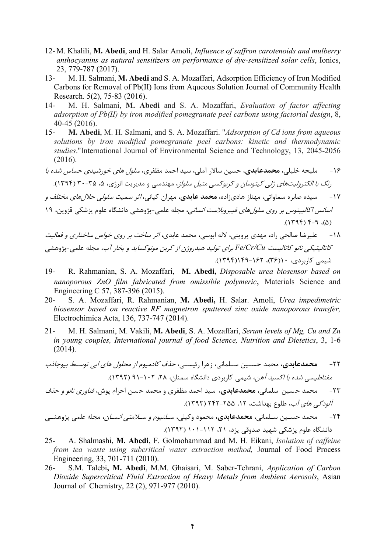- 12- M. Khalili, **M. Abedi**, and H. Salar Amoli, *[Influence of saffron carotenoids and mulberry](https://www.researchgate.net/publication/309267434_Influence_of_saffron_carotenoids_and_mulberry_anthocyanins_as_natural_sensitizers_on_performance_of_dye-sensitized_solar_cells)  [anthocyanins as natural sensitizers on performance of dye-sensitized solar cells](https://www.researchgate.net/publication/309267434_Influence_of_saffron_carotenoids_and_mulberry_anthocyanins_as_natural_sensitizers_on_performance_of_dye-sensitized_solar_cells)*, Ionics, 23, 779-787 (2017).
- 13- M. H. Salmani, **M. Abedi** and S. A. Mozaffari, Adsorption Efficiency of Iron Modified Carbons for Removal of Pb(II) Ions from Aqueous Solution Journal of Community Health Research. 5(2), 75-83 (2016).
- 14- M. H. Salmani, **M. Abedi** and S. A. Mozaffari, *Evaluation of factor affecting adsorption of Pb(II) by iron modified pomegranate peel carbons using factorial design*, 8, 40-45 (2016).
- 15- **M. Abedi**, M. H. Salmani, and S. A. Mozaffari. "*Adsorption of Cd ions from aqueous solutions by iron modified pomegranate peel carbons: kinetic and thermodynamic studies*."International Journal of Environmental Science and Technology, 13, 2045-2056 (2016).
- -16 ملیحه خلیلی، **محمدعابدي**، حسین سالار آملی، سید احمد مظفري، سلول هاي خورشیدي حساس شده با رنگ با الکترولیتهاي ژلی کیتوسان و کربوکسی متیل سلولز، مهندسی و مدیریت انرژي، ،5 30-35 (1394).

-17 سیده صابره سماواتی، مهناز هاديزاده، **محمد عابدي**، مهران کیانی، اثر سمیت سلولی حلالهاي مختلف و ا*سانس اکالیپتوس ب*ر ر*وی سلول های فیبروبلاست انسانی*، مجله علمی-پژوهشی دانشگاه علوم پزشکی قزوین، ۱۹

- $(0, 0, 0, 0)$
- -18 علیرضا صالحی راد، مهدي پروینی، لاله ابوسی، محمد عابدي، اثر ساخت بر روي خواص ساختاري و فعالیت کاتالیتیکی نانو کاتالیست *Cu/Cr/Fe* براي تولید هیدروژن از کربن مونوکساید و بخار آب، مجله علمی-پژوهشی شیمی کاربردي، 10(36)، 149-162(1394).
- 19- R. Rahmanian, S. A. Mozaffari, **M. Abedi,** *Disposable urea biosensor based on nanoporous ZnO film fabricated from omissible polymeric*, Materials Science and Engineering C 57, 387-396 (2015).
- 20- S. A. Mozaffari, R. Rahmanian, **M. Abedi,** H. Salar. Amoli, *Urea impedimetric biosensor based on reactive RF magnetron sputtered zinc oxide nanoporous transfer,* Electrochimica Acta, 136, 737-747 (2014).
- 21- M. H. Salmani, M. Vakili, **M. Abedi**, S. A. Mozaffari, *Serum levels of Mg, Cu and Zn in young couples, International journal of food Science, Nutrition and Dietetics*, 3, 1-6 (2014).

-22 **محمدعابدي**، محمد حســین ســلمانی، زهرا رئیســی، حذف کادمیوم از محلول هاي ابی توســط بیوجاذب مغناطیسی شده با اکسید آهن، شیمی کاربردي دانشگاه سمنان، ،28 91-102 (1392).

-23 محمد ح سین سلمانی، **محمدعابدي**، سید احمد مظفري و محمد ح سن احرام پوش، فناوري نانو و حذف آلودگی هاي آب، طلوع بهداشت، ،12 242-255 (1392).

-24 محمد حسـین سـلمانی، **محمدعابدي**، محمود وکیلی، سـلنیوم و سـلامتی انسـان، مجله علمی پژوهشـی دانشگاه علوم پزشکی شهید صدوقی یزد، ،21 101-112 (1392).

- 25- A. Shalmashi, **M. Abedi**, F. Golmohammad and M. H. Eikani, *Isolation of caffeine from tea waste using subcritical water extraction method,* Journal of Food Process Engineering, 33, 701-711 (2010).
- 26- S.M. Talebi**, M. Abedi**, M.M. Ghaisari, M. Saber-Tehrani, *[Application of Carbon](javascript:void(0);)  [Dioxide Supercritical Fluid Extraction of Heavy Metals from Ambient Aerosols](javascript:void(0);)*, Asian Journal of Chemistry, 22 (2), 971-977 (2010).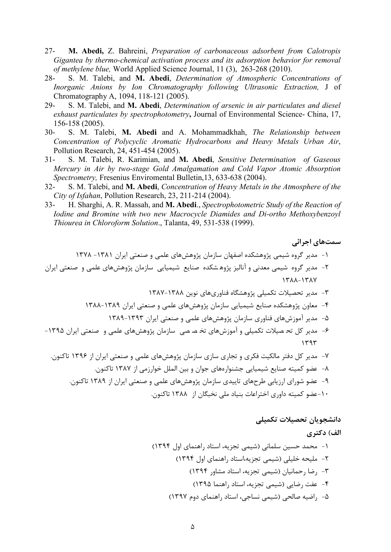- 27- **M. Abedi,** Z. Bahreini, *Preparation of carbonaceous adsorbent from Calotropis Gigantea by thermo-chemical activation process and its adsorption behavior for removal of methylene blue,* World Applied Science Journal, 11 (3), 263-268 (2010).
- 28- S. M. Talebi, and **M. Abedi**, *Determination of Atmospheric Concentrations of Inorganic Anions by Ion Chromatography following Ultrasonic Extraction,* J of Chromatography A, 1094, 118-121 (2005).
- 29- S. M. Talebi, and **M. Abedi**, *Determination of arsenic in air particulates and diesel exhaust particulates by spectrophotometry***,** Journal of Environmental Science- China, 17, 156-158 (2005).
- 30- S. M. Talebi, **M. Abedi** and A. Mohammadkhah, *The Relationship between Concentration of Polycyclic Aromatic Hydrocarbons and Heavy Metals Urban Air*, Pollution Research, 24, 451-454 (2005).
- 31- S. M. Talebi, R. Karimian, and **M. Abedi**, *Sensitive Determination of Gaseous Mercury in Air by two-stage Gold Amalgamation and Cold Vapor Atomic Absorption Spectrometry,* Fresenius Enviromental Bulletin,13, 633-638 (2004).
- 32- S. M. Talebi, and **M. Abedi**, *Concentration of Heavy Metals in the Atmosphere of the City of Isfahan*, Pollution Research, 23, 211-214 (2004).
- 33- H. Sharghi, A. R. Massah, and **M. Abedi**., *Spectrophotometric Study of the Reaction of Iodine and Bromine with two new Macrocycle Diamides and Di-ortho Methoxybenzoyl Thiourea in Chloroform Solution*., Talanta, 49, 531-538 (1999).

**سمتهاي اجرائی** -1 مدیر گروه شیمی پژوهشکده اصفهان سازمان پژوهشهاي علمی و صنعتی ایران -1381 1378 -2 مدیر گروه شیمی معدنی و آنالیز پژوه شکده صنایع شیمیایی سازمان پژوهشهاي علمی و صنعتی ایران 1388-1387 -3 مدیر تحصیلات تکمیلی پژوهشگاه فناوريهاي نوین 1387-1388 -4 معاون پژوهشکده صنایع شیمیایی سازمان پژوهشهاي علمی و صنعتی ایران 1388-1389 -5 مدیر آموزشهاي فناوري سازمان پژوهشهاي علمی و صنعتی ایران 1389-1393 -6 مدیر کل تح صیلات تکمیلی و آموزشهاي تخ ص صی سازمان پژوهشهاي علمی و صنعتی ایران -1395 1393 -7 مدیر کل دفتر مالکیت فکري و تجاري سازي سازمان پژوهشهاي علمی و صنعتی ایران از 1396 تاکنون. -8 عضو کمیته صنایع شیمیایی جشنوارههاي جوان و بین الملل خوارزمی از 1387 تاکنون.

- -9 عضو شوراي ارزیابی طرحهاي تاییدي سازمان پژوهشهاي علمی و صنعتی ایران از 1389 تاکنون.
	- -10عضو کمیته داوري اختراعات بنیاد ملی نخبگان از 1388 تاکنون.

## **دانشجویان تحصیلات تکمیلی**

**الف) دکتري**

-1 محمد حسین سلمانی (شیمی تجزیه، استاد راهنماي اول 1394) -2 ملیحه خلیلی (شیمی تجزیه،استاد راهنماي اول 1394) -3 رضا رحمانیان (شیمی تجزیه، استاد مشاور 1394) -4 عفت رضایی (شیمی تجزیه، استاد راهنما 1395) -5 راضیه صالحی (شیمی نساجی، استاد راهنماي دوم 1397)